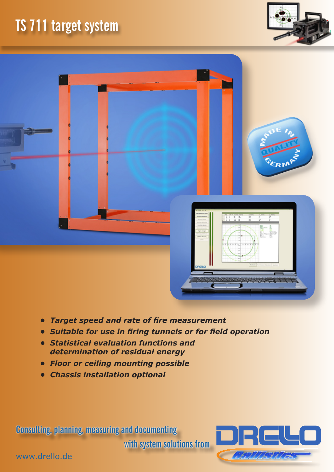# **TS 711 target system**





- *• Target speed and rate of fire measurement*
- *• Suitable for use in firing tunnels or for field operation*
- *• Statistical evaluation functions and determination of residual energy*
- *• Floor or ceiling mounting possible*
- *• Chassis installation optional*

**Consulting, planning, measuring and documenting** 

**with system solutions from**



www.drello.de